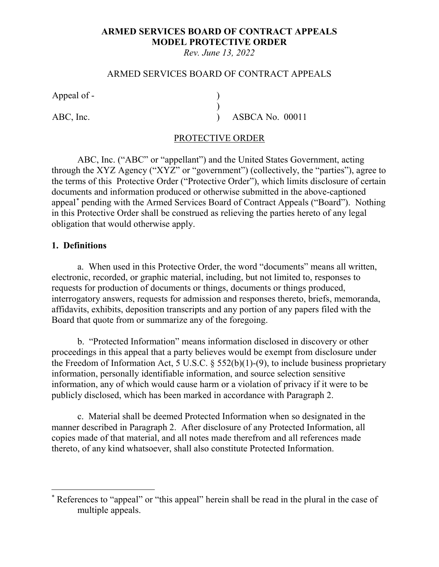## **ARMED SERVICES BOARD OF CONTRACT APPEALS MODEL PROTECTIVE ORDER**

*Rev. June 13, 2022*

#### ARMED SERVICES BOARD OF CONTRACT APPEALS

)

Appeal of - (a)

ABC, Inc.  $\overrightarrow{)}$  ASBCA No. 00011

#### PROTECTIVE ORDER

ABC, Inc. ("ABC" or "appellant") and the United States Government, acting through the XYZ Agency ("XYZ" or "government") (collectively, the "parties"), agree to the terms of this Protective Order ("Protective Order"), which limits disclosure of certain documents and information produced or otherwise submitted in the above-captioned appeal[\\*](#page-0-0) pending with the Armed Services Board of Contract Appeals ("Board"). Nothing in this Protective Order shall be construed as relieving the parties hereto of any legal obligation that would otherwise apply.

#### **1. Definitions**

a. When used in this Protective Order, the word "documents" means all written, electronic, recorded, or graphic material, including, but not limited to, responses to requests for production of documents or things, documents or things produced, interrogatory answers, requests for admission and responses thereto, briefs, memoranda, affidavits, exhibits, deposition transcripts and any portion of any papers filed with the Board that quote from or summarize any of the foregoing.

b. "Protected Information" means information disclosed in discovery or other proceedings in this appeal that a party believes would be exempt from disclosure under the Freedom of Information Act, 5 U.S.C. § 552(b)(1)-(9), to include business proprietary information, personally identifiable information, and source selection sensitive information, any of which would cause harm or a violation of privacy if it were to be publicly disclosed, which has been marked in accordance with Paragraph 2.

c. Material shall be deemed Protected Information when so designated in the manner described in Paragraph 2. After disclosure of any Protected Information, all copies made of that material, and all notes made therefrom and all references made thereto, of any kind whatsoever, shall also constitute Protected Information.

<span id="page-0-0"></span> <sup>\*</sup> References to "appeal" or "this appeal" herein shall be read in the plural in the case of multiple appeals.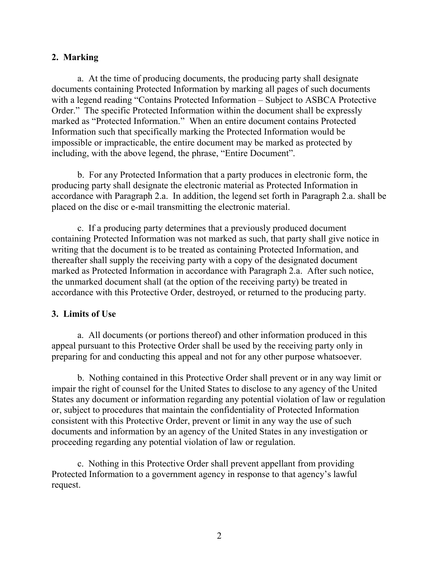#### **2. Marking**

a. At the time of producing documents, the producing party shall designate documents containing Protected Information by marking all pages of such documents with a legend reading "Contains Protected Information – Subject to ASBCA Protective Order." The specific Protected Information within the document shall be expressly marked as "Protected Information." When an entire document contains Protected Information such that specifically marking the Protected Information would be impossible or impracticable, the entire document may be marked as protected by including, with the above legend, the phrase, "Entire Document".

b. For any Protected Information that a party produces in electronic form, the producing party shall designate the electronic material as Protected Information in accordance with Paragraph 2.a. In addition, the legend set forth in Paragraph 2.a. shall be placed on the disc or e-mail transmitting the electronic material.

c. If a producing party determines that a previously produced document containing Protected Information was not marked as such, that party shall give notice in writing that the document is to be treated as containing Protected Information, and thereafter shall supply the receiving party with a copy of the designated document marked as Protected Information in accordance with Paragraph 2.a. After such notice, the unmarked document shall (at the option of the receiving party) be treated in accordance with this Protective Order, destroyed, or returned to the producing party.

#### **3. Limits of Use**

a. All documents (or portions thereof) and other information produced in this appeal pursuant to this Protective Order shall be used by the receiving party only in preparing for and conducting this appeal and not for any other purpose whatsoever.

b. Nothing contained in this Protective Order shall prevent or in any way limit or impair the right of counsel for the United States to disclose to any agency of the United States any document or information regarding any potential violation of law or regulation or, subject to procedures that maintain the confidentiality of Protected Information consistent with this Protective Order, prevent or limit in any way the use of such documents and information by an agency of the United States in any investigation or proceeding regarding any potential violation of law or regulation.

c. Nothing in this Protective Order shall prevent appellant from providing Protected Information to a government agency in response to that agency's lawful request.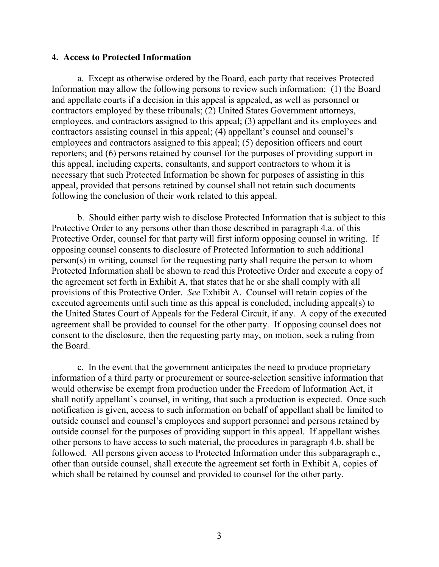#### **4. Access to Protected Information**

a. Except as otherwise ordered by the Board, each party that receives Protected Information may allow the following persons to review such information: (1) the Board and appellate courts if a decision in this appeal is appealed, as well as personnel or contractors employed by these tribunals; (2) United States Government attorneys, employees, and contractors assigned to this appeal; (3) appellant and its employees and contractors assisting counsel in this appeal; (4) appellant's counsel and counsel's employees and contractors assigned to this appeal; (5) deposition officers and court reporters; and (6) persons retained by counsel for the purposes of providing support in this appeal, including experts, consultants, and support contractors to whom it is necessary that such Protected Information be shown for purposes of assisting in this appeal, provided that persons retained by counsel shall not retain such documents following the conclusion of their work related to this appeal.

b. Should either party wish to disclose Protected Information that is subject to this Protective Order to any persons other than those described in paragraph 4.a. of this Protective Order, counsel for that party will first inform opposing counsel in writing. If opposing counsel consents to disclosure of Protected Information to such additional person(s) in writing, counsel for the requesting party shall require the person to whom Protected Information shall be shown to read this Protective Order and execute a copy of the agreement set forth in Exhibit A, that states that he or she shall comply with all provisions of this Protective Order. *See* Exhibit A. Counsel will retain copies of the executed agreements until such time as this appeal is concluded, including appeal(s) to the United States Court of Appeals for the Federal Circuit, if any. A copy of the executed agreement shall be provided to counsel for the other party. If opposing counsel does not consent to the disclosure, then the requesting party may, on motion, seek a ruling from the Board.

c. In the event that the government anticipates the need to produce proprietary information of a third party or procurement or source-selection sensitive information that would otherwise be exempt from production under the Freedom of Information Act, it shall notify appellant's counsel, in writing, that such a production is expected. Once such notification is given, access to such information on behalf of appellant shall be limited to outside counsel and counsel's employees and support personnel and persons retained by outside counsel for the purposes of providing support in this appeal. If appellant wishes other persons to have access to such material, the procedures in paragraph 4.b. shall be followed. All persons given access to Protected Information under this subparagraph c., other than outside counsel, shall execute the agreement set forth in Exhibit A, copies of which shall be retained by counsel and provided to counsel for the other party.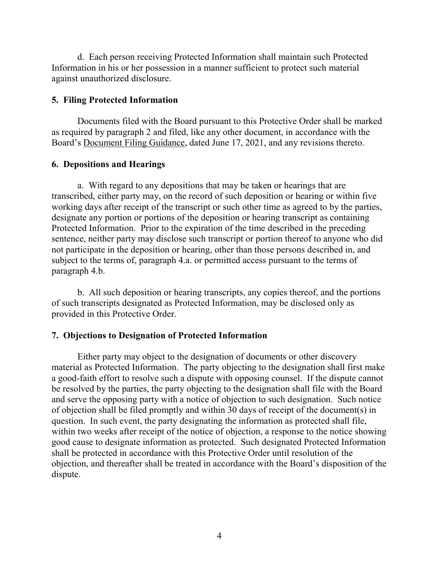d. Each person receiving Protected Information shall maintain such Protected Information in his or her possession in a manner sufficient to protect such material against unauthorized disclosure.

#### **5. Filing Protected Information**

Documents filed with the Board pursuant to this Protective Order shall be marked as required by paragraph 2 and filed, like any other document, in accordance with the Board's Document Filing Guidance, dated June 17, 2021, and any revisions thereto.

### **6. Depositions and Hearings**

a. With regard to any depositions that may be taken or hearings that are transcribed, either party may, on the record of such deposition or hearing or within five working days after receipt of the transcript or such other time as agreed to by the parties, designate any portion or portions of the deposition or hearing transcript as containing Protected Information. Prior to the expiration of the time described in the preceding sentence, neither party may disclose such transcript or portion thereof to anyone who did not participate in the deposition or hearing, other than those persons described in, and subject to the terms of, paragraph 4.a. or permitted access pursuant to the terms of paragraph 4.b.

b. All such deposition or hearing transcripts, any copies thereof, and the portions of such transcripts designated as Protected Information, may be disclosed only as provided in this Protective Order.

#### **7. Objections to Designation of Protected Information**

Either party may object to the designation of documents or other discovery material as Protected Information. The party objecting to the designation shall first make a good-faith effort to resolve such a dispute with opposing counsel. If the dispute cannot be resolved by the parties, the party objecting to the designation shall file with the Board and serve the opposing party with a notice of objection to such designation. Such notice of objection shall be filed promptly and within 30 days of receipt of the document(s) in question. In such event, the party designating the information as protected shall file, within two weeks after receipt of the notice of objection, a response to the notice showing good cause to designate information as protected. Such designated Protected Information shall be protected in accordance with this Protective Order until resolution of the objection, and thereafter shall be treated in accordance with the Board's disposition of the dispute.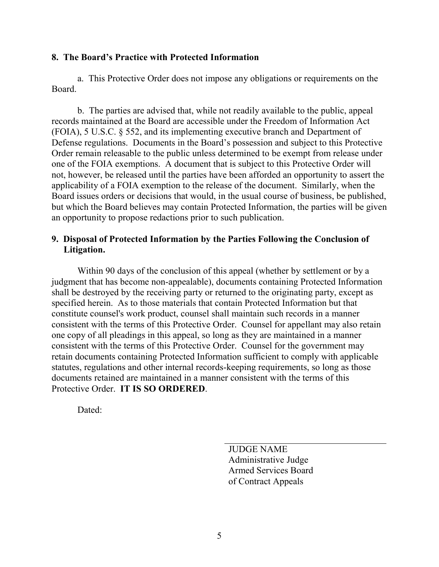#### **8. The Board's Practice with Protected Information**

a. This Protective Order does not impose any obligations or requirements on the Board.

b. The parties are advised that, while not readily available to the public, appeal records maintained at the Board are accessible under the Freedom of Information Act (FOIA), 5 U.S.C. § 552, and its implementing executive branch and Department of Defense regulations. Documents in the Board's possession and subject to this Protective Order remain releasable to the public unless determined to be exempt from release under one of the FOIA exemptions. A document that is subject to this Protective Order will not, however, be released until the parties have been afforded an opportunity to assert the applicability of a FOIA exemption to the release of the document. Similarly, when the Board issues orders or decisions that would, in the usual course of business, be published, but which the Board believes may contain Protected Information, the parties will be given an opportunity to propose redactions prior to such publication.

### **9. Disposal of Protected Information by the Parties Following the Conclusion of Litigation.**

Within 90 days of the conclusion of this appeal (whether by settlement or by a judgment that has become non-appealable), documents containing Protected Information shall be destroyed by the receiving party or returned to the originating party, except as specified herein. As to those materials that contain Protected Information but that constitute counsel's work product, counsel shall maintain such records in a manner consistent with the terms of this Protective Order. Counsel for appellant may also retain one copy of all pleadings in this appeal, so long as they are maintained in a manner consistent with the terms of this Protective Order. Counsel for the government may retain documents containing Protected Information sufficient to comply with applicable statutes, regulations and other internal records-keeping requirements, so long as those documents retained are maintained in a manner consistent with the terms of this Protective Order. **IT IS SO ORDERED**.

Dated:

JUDGE NAME Administrative Judge Armed Services Board of Contract Appeals